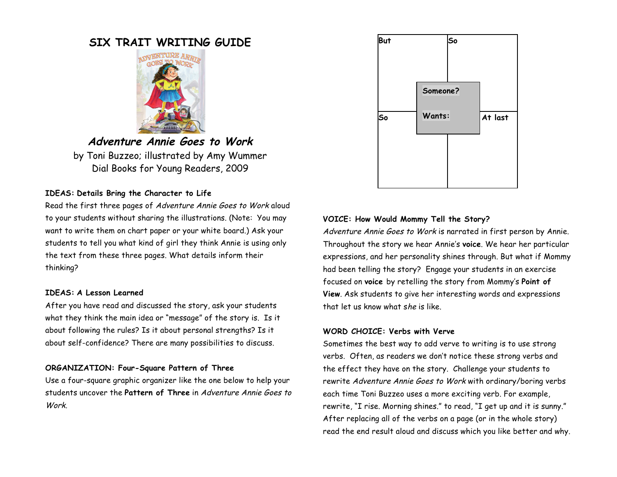# **SIX TRAIT WRITING GUIDE**



**Adventure Annie Goes to Work** by Toni Buzzeo; illustrated by Amy Wummer Dial Books for Young Readers, 2009

### **IDEAS: Details Bring the Character to Life**

Read the first three pages of Adventure Annie Goes to Work aloud to your students without sharing the illustrations. (Note: You may want to write them on chart paper or your white board.) Ask your students to tell you what kind of girl they think Annie is using only the text from these three pages. What details inform their thinking?

### **IDEAS: A Lesson Learned**

After you have read and discussed the story, ask your students what they think the main idea or "message" of the story is. Is it about following the rules? Is it about personal strengths? Is it about self-confidence? There are many possibilities to discuss.

# **ORGANIZATION: Four-Square Pattern of Three**

Use a four-square graphic organizer like the one below to help your students uncover the **Pattern of Three** in Adventure Annie Goes to Work.



# **VOICE: How Would Mommy Tell the Story?**

Adventure Annie Goes to Work is narrated in first person by Annie. Throughout the story we hear Annie's **voice**. We hear her particular expressions, and her personality shines through. But what if Mommy had been telling the story? Engage your students in an exercise focused on **voice** by retelling the story from Mommy's **Point of View**. Ask students to give her interesting words and expressions that let us know what she is like.

# **WORD CHOICE: Verbs with Verve**

Sometimes the best way to add verve to writing is to use strong verbs. Often, as readers we don't notice these strong verbs and the effect they have on the story. Challenge your students to rewrite Adventure Annie Goes to Work with ordinary/boring verbs each time Toni Buzzeo uses a more exciting verb. For example, rewrite, "I rise. Morning shines." to read, "I get up and it is sunny." After replacing all of the verbs on a page (or in the whole story) read the end result aloud and discuss which you like better and why.